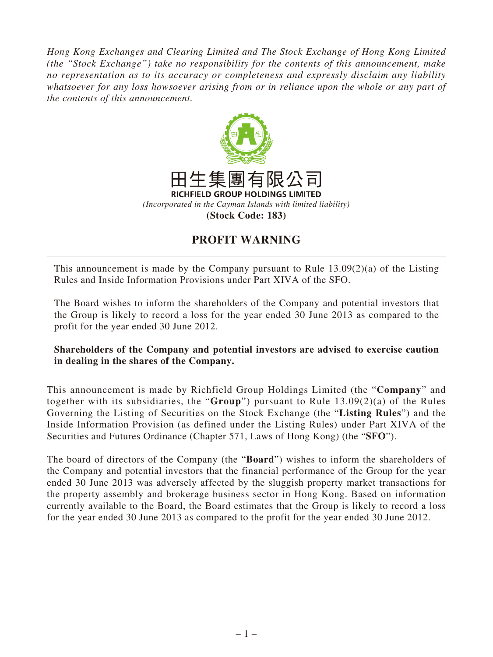*Hong Kong Exchanges and Clearing Limited and The Stock Exchange of Hong Kong Limited (the "Stock Exchange") take no responsibility for the contents of this announcement, make no representation as to its accuracy or completeness and expressly disclaim any liability whatsoever for any loss howsoever arising from or in reliance upon the whole or any part of the contents of this announcement.*



## **PROFIT WARNING**

This announcement is made by the Company pursuant to Rule 13.09(2)(a) of the Listing Rules and Inside Information Provisions under Part XIVA of the SFO.

The Board wishes to inform the shareholders of the Company and potential investors that the Group is likely to record a loss for the year ended 30 June 2013 as compared to the profit for the year ended 30 June 2012.

**Shareholders of the Company and potential investors are advised to exercise caution in dealing in the shares of the Company.**

This announcement is made by Richfield Group Holdings Limited (the "**Company**" and together with its subsidiaries, the "**Group**") pursuant to Rule 13.09(2)(a) of the Rules Governing the Listing of Securities on the Stock Exchange (the "**Listing Rules**") and the Inside Information Provision (as defined under the Listing Rules) under Part XIVA of the Securities and Futures Ordinance (Chapter 571, Laws of Hong Kong) (the "**SFO**").

The board of directors of the Company (the "**Board**") wishes to inform the shareholders of the Company and potential investors that the financial performance of the Group for the year ended 30 June 2013 was adversely affected by the sluggish property market transactions for the property assembly and brokerage business sector in Hong Kong. Based on information currently available to the Board, the Board estimates that the Group is likely to record a loss for the year ended 30 June 2013 as compared to the profit for the year ended 30 June 2012.